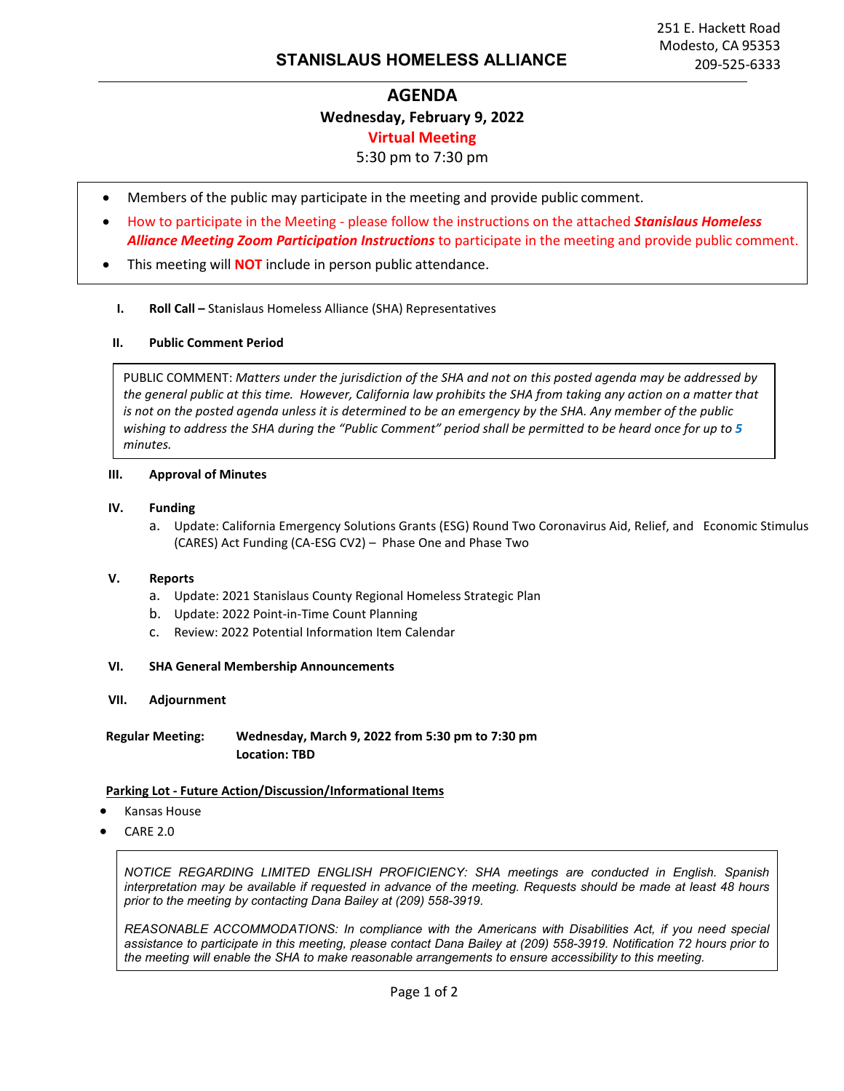# **AGENDA Wednesday, February 9, 2022 Virtual Meeting**

## 5:30 pm to 7:30 pm

- Members of the public may participate in the meeting and provide public comment.
- How to participate in the Meeting please follow the instructions on the attached *Stanislaus Homeless Alliance Meeting Zoom Participation Instructions* to participate in the meeting and provide public comment.
- This meeting will **NOT** include in person public attendance.
	- **I. Roll Call –** Stanislaus Homeless Alliance (SHA) Representatives

#### **II. Public Comment Period**

PUBLIC COMMENT: *Matters under the jurisdiction of the SHA and not on this posted agenda may be addressed by the general public at this time. However, California law prohibits the SHA from taking any action on a matter that is not on the posted agenda unless it is determined to be an emergency by the SHA. Any member of the public wishing to address the SHA during the "Public Comment" period shall be permitted to be heard once for up to 5 minutes.*

#### **III. Approval of Minutes**

#### **IV. Funding**

a. Update: California Emergency Solutions Grants (ESG) Round Two Coronavirus Aid, Relief, and Economic Stimulus (CARES) Act Funding (CA-ESG CV2) – Phase One and Phase Two

#### **V. Reports**

- a. Update: 2021 Stanislaus County Regional Homeless Strategic Plan
- b. Update: 2022 Point-in-Time Count Planning
- c. Review: 2022 Potential Information Item Calendar

#### **VI. SHA General Membership Announcements**

**VII. Adjournment** 

**Regular Meeting: Wednesday, March 9, 2022 from 5:30 pm to 7:30 pm Location: TBD**

#### **Parking Lot - Future Action/Discussion/Informational Items**

- Kansas House
- CARE 2.0

*NOTICE REGARDING LIMITED ENGLISH PROFICIENCY: SHA meetings are conducted in English. Spanish interpretation may be available if requested in advance of the meeting. Requests should be made at least 48 hours prior to the meeting by contacting Dana Bailey at (209) 558-3919.*

*REASONABLE ACCOMMODATIONS: In compliance with the Americans with Disabilities Act, if you need special assistance to participate in this meeting, please contact Dana Bailey at (209) 558-3919. Notification 72 hours prior to the meeting will enable the SHA to make reasonable arrangements to ensure accessibility to this meeting.*